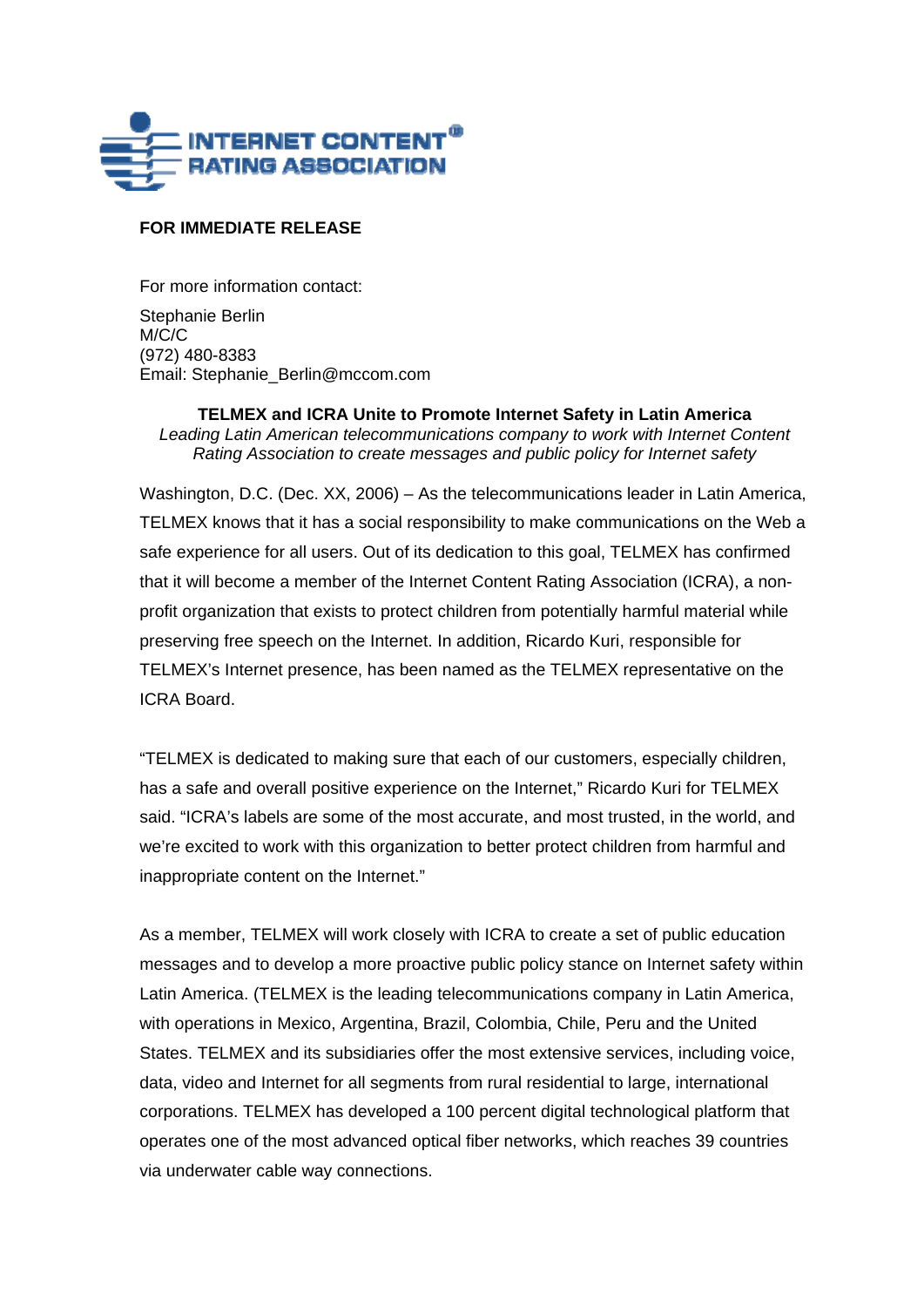

## **FOR IMMEDIATE RELEASE**

For more information contact:

Stephanie Berlin M/C/C (972) 480-8383 Email: Stephanie\_Berlin@mccom.com

**TELMEX and ICRA Unite to Promote Internet Safety in Latin America**  *Leading Latin American telecommunications company to work with Internet Content Rating Association to create messages and public policy for Internet safety* 

Washington, D.C. (Dec. XX, 2006) – As the telecommunications leader in Latin America, TELMEX knows that it has a social responsibility to make communications on the Web a safe experience for all users. Out of its dedication to this goal, TELMEX has confirmed that it will become a member of the Internet Content Rating Association (ICRA), a nonprofit organization that exists to protect children from potentially harmful material while preserving free speech on the Internet. In addition, Ricardo Kuri, responsible for TELMEX's Internet presence, has been named as the TELMEX representative on the ICRA Board.

"TELMEX is dedicated to making sure that each of our customers, especially children, has a safe and overall positive experience on the Internet," Ricardo Kuri for TELMEX said. "ICRA's labels are some of the most accurate, and most trusted, in the world, and we're excited to work with this organization to better protect children from harmful and inappropriate content on the Internet."

As a member, TELMEX will work closely with ICRA to create a set of public education messages and to develop a more proactive public policy stance on Internet safety within Latin America. (TELMEX is the leading telecommunications company in Latin America, with operations in Mexico, Argentina, Brazil, Colombia, Chile, Peru and the United States. TELMEX and its subsidiaries offer the most extensive services, including voice, data, video and Internet for all segments from rural residential to large, international corporations. TELMEX has developed a 100 percent digital technological platform that operates one of the most advanced optical fiber networks, which reaches 39 countries via underwater cable way connections.